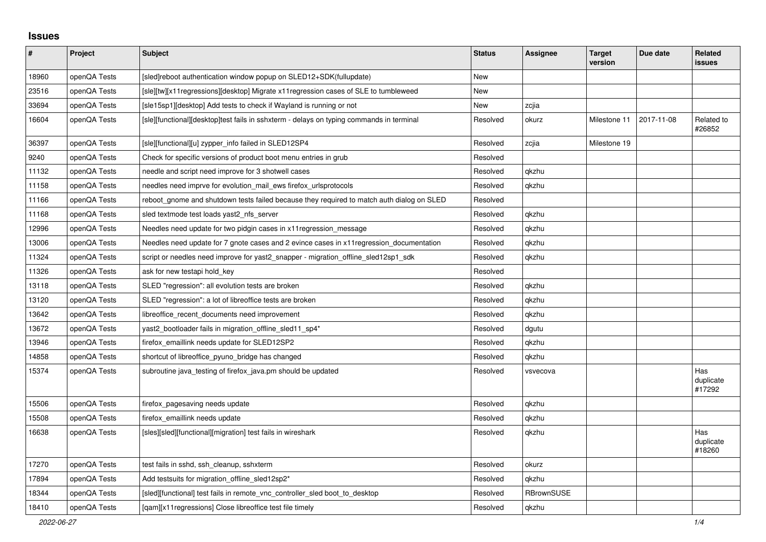## **Issues**

| $\pmb{\#}$ | Project      | <b>Subject</b>                                                                            | <b>Status</b> | <b>Assignee</b> | <b>Target</b><br>version | Due date   | <b>Related</b><br><b>issues</b> |
|------------|--------------|-------------------------------------------------------------------------------------------|---------------|-----------------|--------------------------|------------|---------------------------------|
| 18960      | openQA Tests | [sled]reboot authentication window popup on SLED12+SDK(fullupdate)                        | New           |                 |                          |            |                                 |
| 23516      | openQA Tests | [sle][tw][x11regressions][desktop] Migrate x11regression cases of SLE to tumbleweed       | New           |                 |                          |            |                                 |
| 33694      | openQA Tests | [sle15sp1][desktop] Add tests to check if Wayland is running or not                       | <b>New</b>    | zcjia           |                          |            |                                 |
| 16604      | openQA Tests | [sle][functional][desktop]test fails in sshxterm - delays on typing commands in terminal  | Resolved      | okurz           | Milestone 11             | 2017-11-08 | Related to<br>#26852            |
| 36397      | openQA Tests | [sle][functional][u] zypper_info failed in SLED12SP4                                      | Resolved      | zcjia           | Milestone 19             |            |                                 |
| 9240       | openQA Tests | Check for specific versions of product boot menu entries in grub                          | Resolved      |                 |                          |            |                                 |
| 11132      | openQA Tests | needle and script need improve for 3 shotwell cases                                       | Resolved      | qkzhu           |                          |            |                                 |
| 11158      | openQA Tests | needles need imprve for evolution mail ews firefox urlsprotocols                          | Resolved      | qkzhu           |                          |            |                                 |
| 11166      | openQA Tests | reboot gnome and shutdown tests failed because they required to match auth dialog on SLED | Resolved      |                 |                          |            |                                 |
| 11168      | openQA Tests | sled textmode test loads yast2 nfs server                                                 | Resolved      | qkzhu           |                          |            |                                 |
| 12996      | openQA Tests | Needles need update for two pidgin cases in x11 regression message                        | Resolved      | qkzhu           |                          |            |                                 |
| 13006      | openQA Tests | Needles need update for 7 gnote cases and 2 evince cases in x11 regression documentation  | Resolved      | qkzhu           |                          |            |                                 |
| 11324      | openQA Tests | script or needles need improve for yast2_snapper - migration_offline_sled12sp1_sdk        | Resolved      | qkzhu           |                          |            |                                 |
| 11326      | openQA Tests | ask for new testapi hold_key                                                              | Resolved      |                 |                          |            |                                 |
| 13118      | openQA Tests | SLED "regression": all evolution tests are broken                                         | Resolved      | qkzhu           |                          |            |                                 |
| 13120      | openQA Tests | SLED "regression": a lot of libreoffice tests are broken                                  | Resolved      | qkzhu           |                          |            |                                 |
| 13642      | openQA Tests | libreoffice recent documents need improvement                                             | Resolved      | qkzhu           |                          |            |                                 |
| 13672      | openQA Tests | yast2_bootloader fails in migration_offline_sled11_sp4*                                   | Resolved      | dgutu           |                          |            |                                 |
| 13946      | openQA Tests | firefox emaillink needs update for SLED12SP2                                              | Resolved      | qkzhu           |                          |            |                                 |
| 14858      | openQA Tests | shortcut of libreoffice pyuno bridge has changed                                          | Resolved      | qkzhu           |                          |            |                                 |
| 15374      | openQA Tests | subroutine java_testing of firefox_java.pm should be updated                              | Resolved      | vsvecova        |                          |            | Has<br>duplicate<br>#17292      |
| 15506      | openQA Tests | firefox_pagesaving needs update                                                           | Resolved      | qkzhu           |                          |            |                                 |
| 15508      | openQA Tests | firefox emaillink needs update                                                            | Resolved      | qkzhu           |                          |            |                                 |
| 16638      | openQA Tests | [sles][sled][functional][migration] test fails in wireshark                               | Resolved      | qkzhu           |                          |            | Has<br>duplicate<br>#18260      |
| 17270      | openQA Tests | test fails in sshd, ssh cleanup, sshxterm                                                 | Resolved      | okurz           |                          |            |                                 |
| 17894      | openQA Tests | Add testsuits for migration offline sled12sp2*                                            | Resolved      | qkzhu           |                          |            |                                 |
| 18344      | openQA Tests | [sled][functional] test fails in remote vnc controller sled boot to desktop               | Resolved      | RBrownSUSE      |                          |            |                                 |
| 18410      | openQA Tests | [gam][x11 regressions] Close libreoffice test file timely                                 | Resolved      | gkzhu           |                          |            |                                 |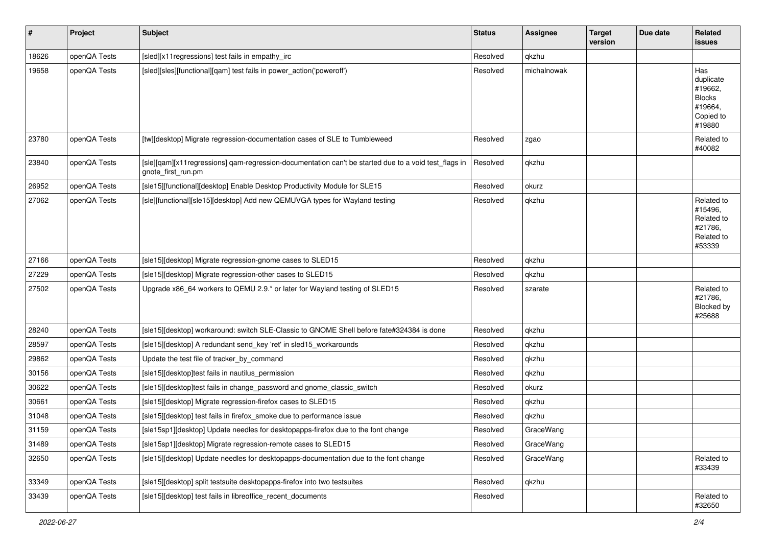| $\vert$ # | Project      | <b>Subject</b>                                                                                                             | <b>Status</b> | <b>Assignee</b> | <b>Target</b><br>version | Due date | Related<br><b>issues</b>                                                       |
|-----------|--------------|----------------------------------------------------------------------------------------------------------------------------|---------------|-----------------|--------------------------|----------|--------------------------------------------------------------------------------|
| 18626     | openQA Tests | [sled][x11regressions] test fails in empathy_irc                                                                           | Resolved      | qkzhu           |                          |          |                                                                                |
| 19658     | openQA Tests | [sled][sles][functional][qam] test fails in power action('poweroff')                                                       | Resolved      | michalnowak     |                          |          | Has<br>duplicate<br>#19662,<br><b>Blocks</b><br>#19664,<br>Copied to<br>#19880 |
| 23780     | openQA Tests | [tw][desktop] Migrate regression-documentation cases of SLE to Tumbleweed                                                  | Resolved      | zgao            |                          |          | Related to<br>#40082                                                           |
| 23840     | openQA Tests | [sle][qam][x11regressions] qam-regression-documentation can't be started due to a void test_flags in<br>gnote_first_run.pm | Resolved      | qkzhu           |                          |          |                                                                                |
| 26952     | openQA Tests | [sle15][functional][desktop] Enable Desktop Productivity Module for SLE15                                                  | Resolved      | okurz           |                          |          |                                                                                |
| 27062     | openQA Tests | [sle][functional][sle15][desktop] Add new QEMUVGA types for Wayland testing                                                | Resolved      | qkzhu           |                          |          | Related to<br>#15496.<br>Related to<br>#21786,<br>Related to<br>#53339         |
| 27166     | openQA Tests | [sle15][desktop] Migrate regression-gnome cases to SLED15                                                                  | Resolved      | qkzhu           |                          |          |                                                                                |
| 27229     | openQA Tests | [sle15][desktop] Migrate regression-other cases to SLED15                                                                  | Resolved      | qkzhu           |                          |          |                                                                                |
| 27502     | openQA Tests | Upgrade x86 64 workers to QEMU 2.9. <sup>*</sup> or later for Wayland testing of SLED15                                    | Resolved      | szarate         |                          |          | Related to<br>#21786,<br>Blocked by<br>#25688                                  |
| 28240     | openQA Tests | [sle15][desktop] workaround: switch SLE-Classic to GNOME Shell before fate#324384 is done                                  | Resolved      | qkzhu           |                          |          |                                                                                |
| 28597     | openQA Tests | [sle15][desktop] A redundant send_key 'ret' in sled15_workarounds                                                          | Resolved      | qkzhu           |                          |          |                                                                                |
| 29862     | openQA Tests | Update the test file of tracker_by_command                                                                                 | Resolved      | qkzhu           |                          |          |                                                                                |
| 30156     | openQA Tests | [sle15][desktop]test fails in nautilus_permission                                                                          | Resolved      | qkzhu           |                          |          |                                                                                |
| 30622     | openQA Tests | [sle15][desktop]test fails in change password and gnome classic switch                                                     | Resolved      | okurz           |                          |          |                                                                                |
| 30661     | openQA Tests | [sle15][desktop] Migrate regression-firefox cases to SLED15                                                                | Resolved      | qkzhu           |                          |          |                                                                                |
| 31048     | openQA Tests | [sle15][desktop] test fails in firefox smoke due to performance issue                                                      | Resolved      | qkzhu           |                          |          |                                                                                |
| 31159     | openQA Tests | [sle15sp1][desktop] Update needles for desktopapps-firefox due to the font change                                          | Resolved      | GraceWang       |                          |          |                                                                                |
| 31489     | openQA Tests | [sle15sp1][desktop] Migrate regression-remote cases to SLED15                                                              | Resolved      | GraceWang       |                          |          |                                                                                |
| 32650     | openQA Tests | [sle15][desktop] Update needles for desktopapps-documentation due to the font change                                       | Resolved      | GraceWang       |                          |          | Related to<br>#33439                                                           |
| 33349     | openQA Tests | [sle15][desktop] split testsuite desktopapps-firefox into two testsuites                                                   | Resolved      | qkzhu           |                          |          |                                                                                |
| 33439     | openQA Tests | [sle15][desktop] test fails in libreoffice_recent_documents                                                                | Resolved      |                 |                          |          | Related to<br>#32650                                                           |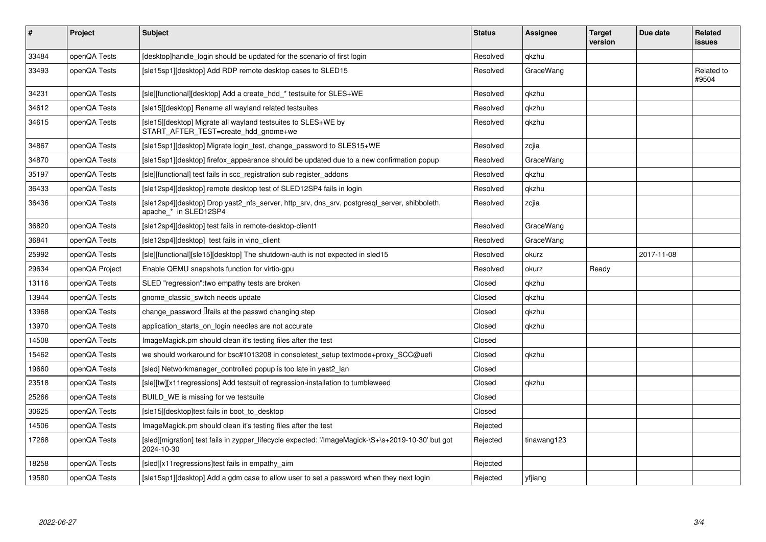| #     | Project        | <b>Subject</b>                                                                                                        | <b>Status</b> | <b>Assignee</b> | <b>Target</b><br>version | Due date   | Related<br><b>issues</b> |
|-------|----------------|-----------------------------------------------------------------------------------------------------------------------|---------------|-----------------|--------------------------|------------|--------------------------|
| 33484 | openQA Tests   | [desktop]handle login should be updated for the scenario of first login                                               | Resolved      | gkzhu           |                          |            |                          |
| 33493 | openQA Tests   | [sle15sp1][desktop] Add RDP remote desktop cases to SLED15                                                            | Resolved      | GraceWang       |                          |            | Related to<br>#9504      |
| 34231 | openQA Tests   | [sle][functional][desktop] Add a create hdd * testsuite for SLES+WE                                                   | Resolved      | qkzhu           |                          |            |                          |
| 34612 | openQA Tests   | [sle15][desktop] Rename all wayland related testsuites                                                                | Resolved      | qkzhu           |                          |            |                          |
| 34615 | openQA Tests   | [sle15][desktop] Migrate all wayland testsuites to SLES+WE by<br>START_AFTER_TEST=create_hdd_gnome+we                 | Resolved      | qkzhu           |                          |            |                          |
| 34867 | openQA Tests   | [sle15sp1][desktop] Migrate login test, change password to SLES15+WE                                                  | Resolved      | zcjia           |                          |            |                          |
| 34870 | openQA Tests   | [sle15sp1][desktop] firefox appearance should be updated due to a new confirmation popup                              | Resolved      | GraceWang       |                          |            |                          |
| 35197 | openQA Tests   | [sle][functional] test fails in scc registration sub register addons                                                  | Resolved      | qkzhu           |                          |            |                          |
| 36433 | openQA Tests   | [sle12sp4][desktop] remote desktop test of SLED12SP4 fails in login                                                   | Resolved      | qkzhu           |                          |            |                          |
| 36436 | openQA Tests   | [sle12sp4][desktop] Drop yast2_nfs_server, http_srv, dns_srv, postgresql_server, shibboleth,<br>apache_* in SLED12SP4 | Resolved      | zcjia           |                          |            |                          |
| 36820 | openQA Tests   | [sle12sp4][desktop] test fails in remote-desktop-client1                                                              | Resolved      | GraceWang       |                          |            |                          |
| 36841 | openQA Tests   | [sle12sp4][desktop] test fails in vino_client                                                                         | Resolved      | GraceWang       |                          |            |                          |
| 25992 | openQA Tests   | [sle][functional][sle15][desktop] The shutdown-auth is not expected in sled15                                         | Resolved      | okurz           |                          | 2017-11-08 |                          |
| 29634 | openQA Project | Enable QEMU snapshots function for virtio-gpu                                                                         | Resolved      | okurz           | Ready                    |            |                          |
| 13116 | openQA Tests   | SLED "regression": two empathy tests are broken                                                                       | Closed        | qkzhu           |                          |            |                          |
| 13944 | openQA Tests   | gnome classic switch needs update                                                                                     | Closed        | qkzhu           |                          |            |                          |
| 13968 | openQA Tests   | change_password <i>liails</i> at the passwd changing step                                                             | Closed        | qkzhu           |                          |            |                          |
| 13970 | openQA Tests   | application_starts_on_login needles are not accurate                                                                  | Closed        | qkzhu           |                          |            |                          |
| 14508 | openQA Tests   | ImageMagick.pm should clean it's testing files after the test                                                         | Closed        |                 |                          |            |                          |
| 15462 | openQA Tests   | we should workaround for bsc#1013208 in consoletest setup textmode+proxy SCC@uefi                                     | Closed        | qkzhu           |                          |            |                          |
| 19660 | openQA Tests   | [sled] Networkmanager controlled popup is too late in yast2 lan                                                       | Closed        |                 |                          |            |                          |
| 23518 | openQA Tests   | [sle][tw][x11regressions] Add testsuit of regression-installation to tumbleweed                                       | Closed        | qkzhu           |                          |            |                          |
| 25266 | openQA Tests   | BUILD WE is missing for we testsuite                                                                                  | Closed        |                 |                          |            |                          |
| 30625 | openQA Tests   | [sle15][desktop]test fails in boot to desktop                                                                         | Closed        |                 |                          |            |                          |
| 14506 | openQA Tests   | ImageMagick.pm should clean it's testing files after the test                                                         | Rejected      |                 |                          |            |                          |
| 17268 | openQA Tests   | [sled][migration] test fails in zypper_lifecycle expected: '/ImageMagick-\S+\s+2019-10-30' but got<br>2024-10-30      | Rejected      | tinawang123     |                          |            |                          |
| 18258 | openQA Tests   | [sled][x11 regressions]test fails in empathy aim                                                                      | Rejected      |                 |                          |            |                          |
| 19580 | openQA Tests   | [sle15sp1][desktop] Add a gdm case to allow user to set a password when they next login                               | Rejected      | yfjiang         |                          |            |                          |